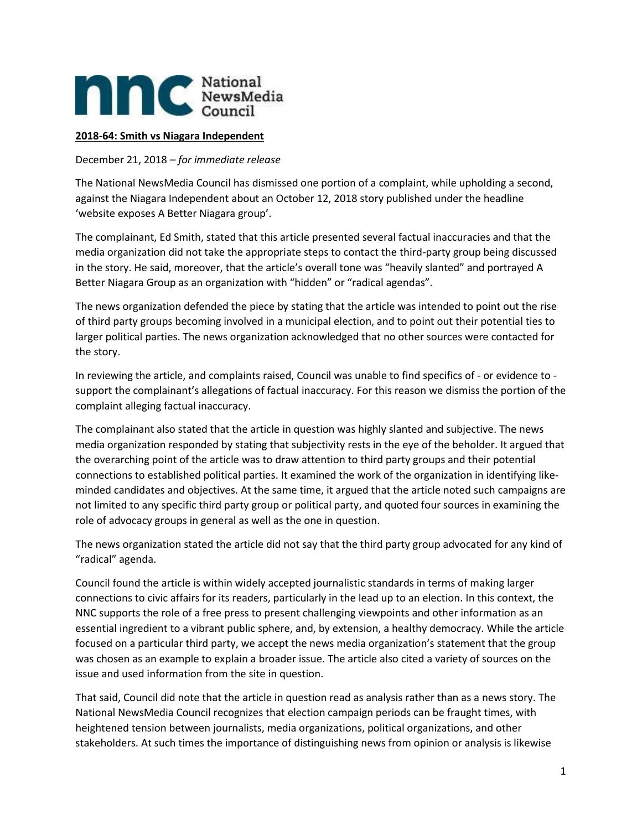

## **2018-64: Smith vs Niagara Independent**

December 21, 2018 *– for immediate release*

The National NewsMedia Council has dismissed one portion of a complaint, while upholding a second, against the Niagara Independent about an October 12, 2018 story published under the headline 'website exposes A Better Niagara group'.

The complainant, Ed Smith, stated that this article presented several factual inaccuracies and that the media organization did not take the appropriate steps to contact the third-party group being discussed in the story. He said, moreover, that the article's overall tone was "heavily slanted" and portrayed A Better Niagara Group as an organization with "hidden" or "radical agendas".

The news organization defended the piece by stating that the article was intended to point out the rise of third party groups becoming involved in a municipal election, and to point out their potential ties to larger political parties. The news organization acknowledged that no other sources were contacted for the story.

In reviewing the article, and complaints raised, Council was unable to find specifics of - or evidence to support the complainant's allegations of factual inaccuracy. For this reason we dismiss the portion of the complaint alleging factual inaccuracy.

The complainant also stated that the article in question was highly slanted and subjective. The news media organization responded by stating that subjectivity rests in the eye of the beholder. It argued that the overarching point of the article was to draw attention to third party groups and their potential connections to established political parties. It examined the work of the organization in identifying likeminded candidates and objectives. At the same time, it argued that the article noted such campaigns are not limited to any specific third party group or political party, and quoted four sources in examining the role of advocacy groups in general as well as the one in question.

The news organization stated the article did not say that the third party group advocated for any kind of "radical" agenda.

Council found the article is within widely accepted journalistic standards in terms of making larger connections to civic affairs for its readers, particularly in the lead up to an election. In this context, the NNC supports the role of a free press to present challenging viewpoints and other information as an essential ingredient to a vibrant public sphere, and, by extension, a healthy democracy. While the article focused on a particular third party, we accept the news media organization's statement that the group was chosen as an example to explain a broader issue. The article also cited a variety of sources on the issue and used information from the site in question.

That said, Council did note that the article in question read as analysis rather than as a news story. The National NewsMedia Council recognizes that election campaign periods can be fraught times, with heightened tension between journalists, media organizations, political organizations, and other stakeholders. At such times the importance of distinguishing news from opinion or analysis is likewise